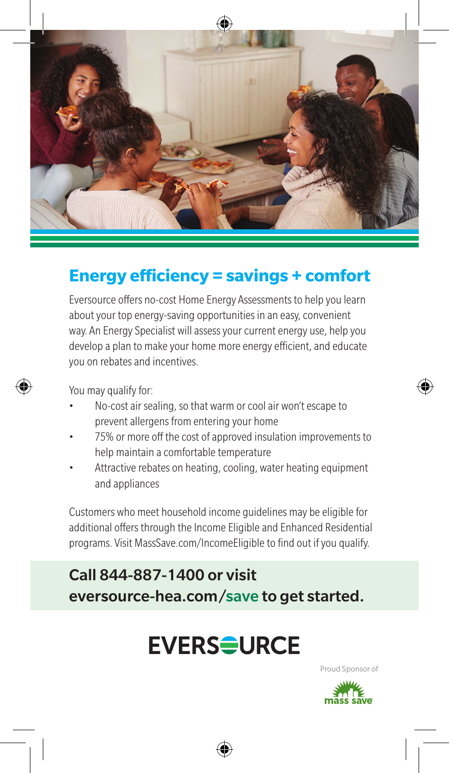

#### **Energy efficiency = savings + comfort**

Eversource offers no-cost Home Energy Assessments to help you learn about your top energy-saving opportunities in an easy, convenient way. An Energy Specialist will assess your current energy use, help you develop a plan to make your home more energy efficient, and educate you on rebates and incentives.

You may qualify for:

- No-cost air sealing, so that warm or cool air won't escape to prevent allergens from entering your home
- 75% or more off the cost of approved insulation improvements to help maintain a comfortable temperature
- Attractive rebates on heating, cooling, water heating equipment and appliances

Customers who meet household income guidelines may be eligible for additional offers through the Income Eligible and Enhanced Residential programs. Visit MassSave.com/IncomeEligible to find out if you qualify.

#### Call 844-887-1400 or visit eversource-hea.com/save to get started.

# **EVERS<del>Q</del>URCE**

Proud Sponsor of